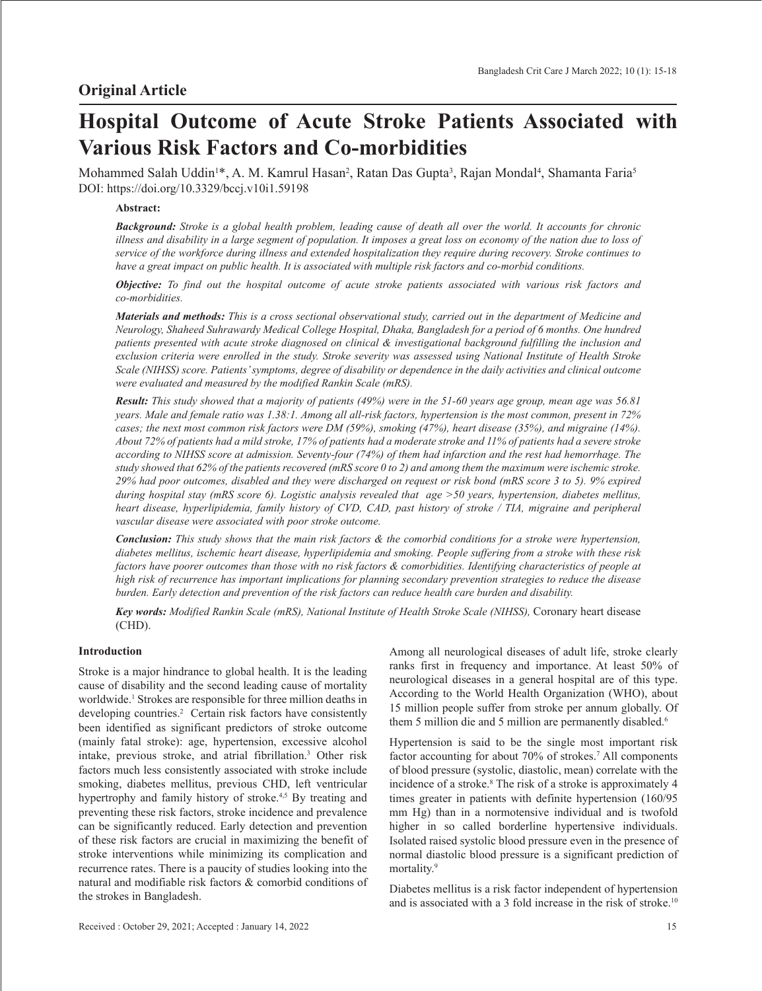# **Hospital Outcome of Acute Stroke Patients Associated with Various Risk Factors and Co-morbidities**

Mohammed Salah Uddin<sup>1</sup>\*, A. M. Kamrul Hasan<sup>2</sup>, Ratan Das Gupta<sup>3</sup>, Rajan Mondal<sup>4</sup>, Shamanta Faria<sup>5</sup> DOI: https://doi.org/10.3329/bccj.v10i1.59198

# **Abstract:**

*Background: Stroke is a global health problem, leading cause of death all over the world. It accounts for chronic illness and disability in a large segment of population. It imposes a great loss on economy of the nation due to loss of service of the workforce during illness and extended hospitalization they require during recovery. Stroke continues to have a great impact on public health. It is associated with multiple risk factors and co-morbid conditions.* 

*Objective: To find out the hospital outcome of acute stroke patients associated with various risk factors and co-morbidities.*

*Materials and methods: This is a cross sectional observational study, carried out in the department of Medicine and Neurology, Shaheed Suhrawardy Medical College Hospital, Dhaka, Bangladesh for a period of 6 months. One hundred patients presented with acute stroke diagnosed on clinical & investigational background fulfilling the inclusion and exclusion criteria were enrolled in the study. Stroke severity was assessed using National Institute of Health Stroke Scale (NIHSS) score. Patients' symptoms, degree of disability or dependence in the daily activities and clinical outcome were evaluated and measured by the modified Rankin Scale (mRS).*

*Result: This study showed that a majority of patients (49%) were in the 51-60 years age group, mean age was 56.81 years. Male and female ratio was 1.38:1. Among all all-risk factors, hypertension is the most common, present in 72% cases; the next most common risk factors were DM (59%), smoking (47%), heart disease (35%), and migraine (14%). About 72% of patients had a mild stroke, 17% of patients had a moderate stroke and 11% of patients had a severe stroke according to NIHSS score at admission. Seventy-four (74%) of them had infarction and the rest had hemorrhage. The study showed that 62% of the patients recovered (mRS score 0 to 2) and among them the maximum were ischemic stroke. 29% had poor outcomes, disabled and they were discharged on request or risk bond (mRS score 3 to 5). 9% expired during hospital stay (mRS score 6). Logistic analysis revealed that age >50 years, hypertension, diabetes mellitus, heart disease, hyperlipidemia, family history of CVD, CAD, past history of stroke / TIA, migraine and peripheral vascular disease were associated with poor stroke outcome.*

*Conclusion: This study shows that the main risk factors & the comorbid conditions for a stroke were hypertension, diabetes mellitus, ischemic heart disease, hyperlipidemia and smoking. People suffering from a stroke with these risk factors have poorer outcomes than those with no risk factors & comorbidities. Identifying characteristics of people at high risk of recurrence has important implications for planning secondary prevention strategies to reduce the disease burden. Early detection and prevention of the risk factors can reduce health care burden and disability.*

*Key words: Modified Rankin Scale (mRS), National Institute of Health Stroke Scale (NIHSS),* Coronary heart disease (CHD).

# **Introduction**

Stroke is a major hindrance to global health. It is the leading cause of disability and the second leading cause of mortality worldwide.<sup>1</sup> Strokes are responsible for three million deaths in developing countries.<sup>2</sup> Certain risk factors have consistently been identified as significant predictors of stroke outcome (mainly fatal stroke): age, hypertension, excessive alcohol intake, previous stroke, and atrial fibrillation.3 Other risk factors much less consistently associated with stroke include smoking, diabetes mellitus, previous CHD, left ventricular hypertrophy and family history of stroke.<sup>4,5</sup> By treating and preventing these risk factors, stroke incidence and prevalence can be significantly reduced. Early detection and prevention of these risk factors are crucial in maximizing the benefit of stroke interventions while minimizing its complication and recurrence rates. There is a paucity of studies looking into the natural and modifiable risk factors & comorbid conditions of the strokes in Bangladesh.

Among all neurological diseases of adult life, stroke clearly ranks first in frequency and importance. At least 50% of neurological diseases in a general hospital are of this type. According to the World Health Organization (WHO), about 15 million people suffer from stroke per annum globally. Of them 5 million die and 5 million are permanently disabled.<sup>6</sup>

Hypertension is said to be the single most important risk factor accounting for about 70% of strokes.<sup>7</sup> All components of blood pressure (systolic, diastolic, mean) correlate with the incidence of a stroke.8 The risk of a stroke is approximately 4 times greater in patients with definite hypertension (160/95 mm Hg) than in a normotensive individual and is twofold higher in so called borderline hypertensive individuals. Isolated raised systolic blood pressure even in the presence of normal diastolic blood pressure is a significant prediction of mortality.9

Diabetes mellitus is a risk factor independent of hypertension and is associated with a 3 fold increase in the risk of stroke.10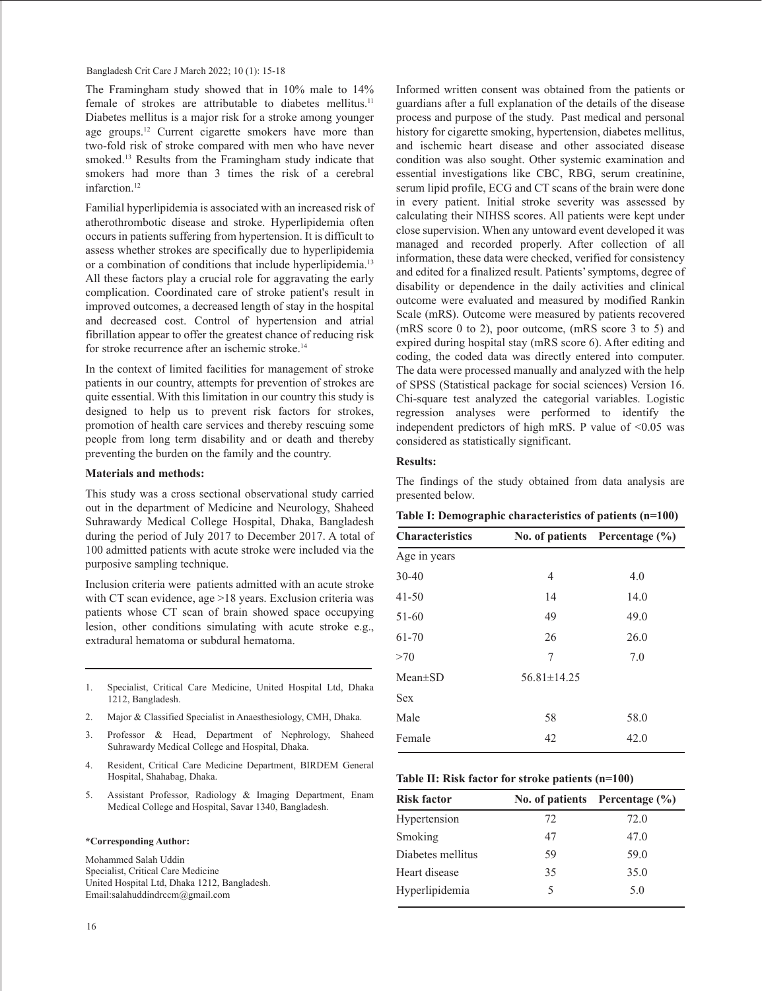The Framingham study showed that in 10% male to 14% female of strokes are attributable to diabetes mellitus.<sup>11</sup> Diabetes mellitus is a major risk for a stroke among younger age groups.12 Current cigarette smokers have more than two-fold risk of stroke compared with men who have never smoked.<sup>13</sup> Results from the Framingham study indicate that smokers had more than 3 times the risk of a cerebral infarction.<sup>12</sup>

Familial hyperlipidemia is associated with an increased risk of atherothrombotic disease and stroke. Hyperlipidemia often occurs in patients suffering from hypertension. It is difficult to assess whether strokes are specifically due to hyperlipidemia or a combination of conditions that include hyperlipidemia.<sup>13</sup> All these factors play a crucial role for aggravating the early complication. Coordinated care of stroke patient's result in improved outcomes, a decreased length of stay in the hospital and decreased cost. Control of hypertension and atrial fibrillation appear to offer the greatest chance of reducing risk for stroke recurrence after an ischemic stroke.14

In the context of limited facilities for management of stroke patients in our country, attempts for prevention of strokes are quite essential. With this limitation in our country this study is designed to help us to prevent risk factors for strokes, promotion of health care services and thereby rescuing some people from long term disability and or death and thereby preventing the burden on the family and the country.

# **Materials and methods:**

This study was a cross sectional observational study carried out in the department of Medicine and Neurology, Shaheed Suhrawardy Medical College Hospital, Dhaka, Bangladesh during the period of July 2017 to December 2017. A total of 100 admitted patients with acute stroke were included via the purposive sampling technique.

Inclusion criteria were patients admitted with an acute stroke with CT scan evidence, age >18 years. Exclusion criteria was patients whose CT scan of brain showed space occupying lesion, other conditions simulating with acute stroke e.g., extradural hematoma or subdural hematoma.

- 1. Specialist, Critical Care Medicine, United Hospital Ltd, Dhaka 1212, Bangladesh.
- 2. Major & Classified Specialist in Anaesthesiology, CMH, Dhaka.
- 3. Professor & Head, Department of Nephrology, Shaheed Suhrawardy Medical College and Hospital, Dhaka.
- 4. Resident, Critical Care Medicine Department, BIRDEM General Hospital, Shahabag, Dhaka.
- 5. Assistant Professor, Radiology & Imaging Department, Enam Medical College and Hospital, Savar 1340, Bangladesh.

#### **\*Corresponding Author:**

Mohammed Salah Uddin Specialist, Critical Care Medicine United Hospital Ltd, Dhaka 1212, Bangladesh. Email:salahuddindrccm@gmail.com

16

Informed written consent was obtained from the patients or guardians after a full explanation of the details of the disease process and purpose of the study. Past medical and personal history for cigarette smoking, hypertension, diabetes mellitus, and ischemic heart disease and other associated disease condition was also sought. Other systemic examination and essential investigations like CBC, RBG, serum creatinine, serum lipid profile, ECG and CT scans of the brain were done in every patient. Initial stroke severity was assessed by calculating their NIHSS scores. All patients were kept under close supervision. When any untoward event developed it was managed and recorded properly. After collection of all information, these data were checked, verified for consistency and edited for a finalized result. Patients' symptoms, degree of disability or dependence in the daily activities and clinical outcome were evaluated and measured by modified Rankin Scale (mRS). Outcome were measured by patients recovered (mRS score 0 to 2), poor outcome, (mRS score 3 to 5) and expired during hospital stay (mRS score 6). After editing and coding, the coded data was directly entered into computer. The data were processed manually and analyzed with the help of SPSS (Statistical package for social sciences) Version 16. Chi-square test analyzed the categorial variables. Logistic regression analyses were performed to identify the independent predictors of high mRS. P value of  $\leq 0.05$  was considered as statistically significant.

### **Results:**

The findings of the study obtained from data analysis are presented below.

|  |  | Table I: Demographic characteristics of patients (n=100) |  |  |
|--|--|----------------------------------------------------------|--|--|
|--|--|----------------------------------------------------------|--|--|

| <b>Characteristics</b> |                   | No. of patients Percentage (%) |  |
|------------------------|-------------------|--------------------------------|--|
| Age in years           |                   |                                |  |
| $30 - 40$              | 4                 | 4.0                            |  |
| $41 - 50$              | 14                | 14.0                           |  |
| 51-60                  | 49                | 49.0                           |  |
| $61 - 70$              | 26                | 26.0                           |  |
| >70                    | 7                 | 7.0                            |  |
| $Mean \pm SD$          | $56.81 \pm 14.25$ |                                |  |
| <b>Sex</b>             |                   |                                |  |
| Male                   | 58                | 58.0                           |  |
| Female                 | 42                | 42.0                           |  |

## **Table II: Risk factor for stroke patients (n=100)**

| <b>Risk factor</b> |    | No. of patients Percentage $(\% )$ |
|--------------------|----|------------------------------------|
| Hypertension       | 72 | 72.0                               |
| Smoking            | 47 | 47.0                               |
| Diabetes mellitus  | 59 | 59.0                               |
| Heart disease      | 35 | 35.0                               |
| Hyperlipidemia     | 5  | 5.0                                |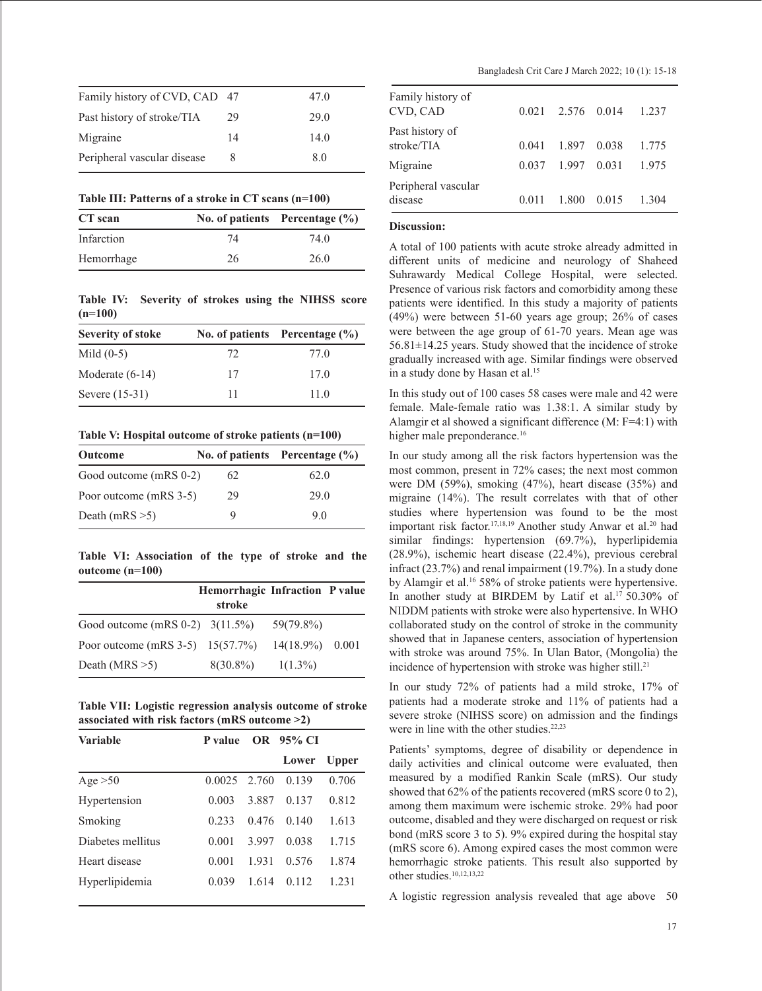| Family history of CVD, CAD 47 |    | 47.0 |
|-------------------------------|----|------|
| Past history of stroke/TIA    | 29 | 29.0 |
| Migraine                      | 14 | 14.0 |
| Peripheral vascular disease   | 8  | 8.0  |

|  |  | Table III: Patterns of a stroke in CT scans (n=100) |
|--|--|-----------------------------------------------------|
|--|--|-----------------------------------------------------|

| CT scan    |    | No. of patients Percentage $(\% )$ |
|------------|----|------------------------------------|
| Infarction | 74 | 74.0                               |
| Hemorrhage | 26 | 26.0                               |

**Table IV: Severity of strokes using the NIHSS score (n=100)**

| Severity of stoke |    | No. of patients Percentage $(\% )$ |
|-------------------|----|------------------------------------|
| Mild $(0-5)$      | 72 | 77.0                               |
| Moderate $(6-14)$ | 17 | 17.0                               |
| Severe (15-31)    | 11 | 11.0                               |

**Table V: Hospital outcome of stroke patients (n=100)**

| Outcome                |    | No. of patients Percentage $(\% )$ |
|------------------------|----|------------------------------------|
| Good outcome (mRS 0-2) | 62 | 62.0                               |
| Poor outcome (mRS 3-5) | 29 | 29.0                               |
| Death (mRS $>5$ )      | Q  | 9.0                                |

**Table VI: Association of the type of stroke and the outcome (n=100)** 

|                                    | Hemorrhagic Infraction P value<br>stroke |                    |  |
|------------------------------------|------------------------------------------|--------------------|--|
| Good outcome (mRS $0-2$ ) 3(11.5%) |                                          | 59(79.8%)          |  |
| Poor outcome (mRS 3-5) $15(57.7%)$ |                                          | $14(18.9\%)$ 0.001 |  |
| Death (MRS $>5$ )                  | $8(30.8\%)$                              | $1(1.3\%)$         |  |

**Table VII: Logistic regression analysis outcome of stroke associated with risk factors (mRS outcome >2)**

| <b>Variable</b>   | P value |       | OR 95% CI |              |
|-------------------|---------|-------|-----------|--------------|
|                   |         |       | Lower     | <b>Upper</b> |
| Age $>50$         | 0.0025  | 2.760 | 0.139     | 0.706        |
| Hypertension      | 0.003   | 3.887 | 0.137     | 0.812        |
| Smoking           | 0.233   | 0.476 | 0.140     | 1.613        |
| Diabetes mellitus | 0.001   | 3.997 | 0.038     | 1.715        |
| Heart disease     | 0.001   | 1.931 | 0.576     | 1.874        |
| Hyperlipidemia    | 0.039   | 1.614 | 0.112     | 1.231        |
|                   |         |       |           |              |

| Family history of<br>CVD, CAD  | 0.021 | 2.576 0.014 |       | 1.237 |
|--------------------------------|-------|-------------|-------|-------|
| Past history of<br>stroke/TIA  | 0.041 | 1.897       | 0.038 | 1.775 |
| Migraine                       | 0.037 | 1.997 0.031 |       | 1.975 |
| Peripheral vascular<br>disease | 0.011 | 1.800       | 0.015 | 1.304 |

# **Discussion:**

A total of 100 patients with acute stroke already admitted in different units of medicine and neurology of Shaheed Suhrawardy Medical College Hospital, were selected. Presence of various risk factors and comorbidity among these patients were identified. In this study a majority of patients (49%) were between 51-60 years age group; 26% of cases were between the age group of 61-70 years. Mean age was 56.81±14.25 years. Study showed that the incidence of stroke gradually increased with age. Similar findings were observed in a study done by Hasan et al. 15

In this study out of 100 cases 58 cases were male and 42 were female. Male-female ratio was 1.38:1. A similar study by Alamgir et al showed a significant difference (M: F=4:1) with higher male preponderance. 16

In our study among all the risk factors hypertension was the most common, present in 72% cases; the next most common were DM (59%), smoking (47%), heart disease (35%) and migraine (14%). The result correlates with that of other studies where hypertension was found to be the most important risk factor. 17,18,19 Another study Anwar et al. <sup>20</sup> had similar findings: hypertension (69.7%), hyperlipidemia (28.9%), ischemic heart disease (22.4%), previous cerebral infract (23.7%) and renal impairment (19.7%). In a study done by Alamgir et al. <sup>16</sup> 58% of stroke patients were hypertensive. In another study at BIRDEM by Latif et al. <sup>17</sup> 50.30% of NIDDM patients with stroke were also hypertensive. In WHO collaborated study on the control of stroke in the community showed that in Japanese centers, association of hypertension with stroke was around 75%. In Ulan Bator, (Mongolia) the incidence of hypertension with stroke was higher still. 21

In our study 72% of patients had a mild stroke, 17% of patients had a moderate stroke and 11% of patients had a severe stroke (NIHSS score) on admission and the findings were in line with the other studies. 22,23

Patients' symptoms, degree of disability or dependence in daily activities and clinical outcome were evaluated, then measured by a modified Rankin Scale (mRS). Our study showed that 62% of the patients recovered (mRS score 0 to 2), among them maximum were ischemic stroke. 29% had poor outcome, disabled and they were discharged on request or risk bond (mRS score 3 to 5). 9% expired during the hospital stay (mRS score 6). Among expired cases the most common were hemorrhagic stroke patients. This result also supported by other studies. 10,12,13,22

A logistic regression analysis revealed that age above 50